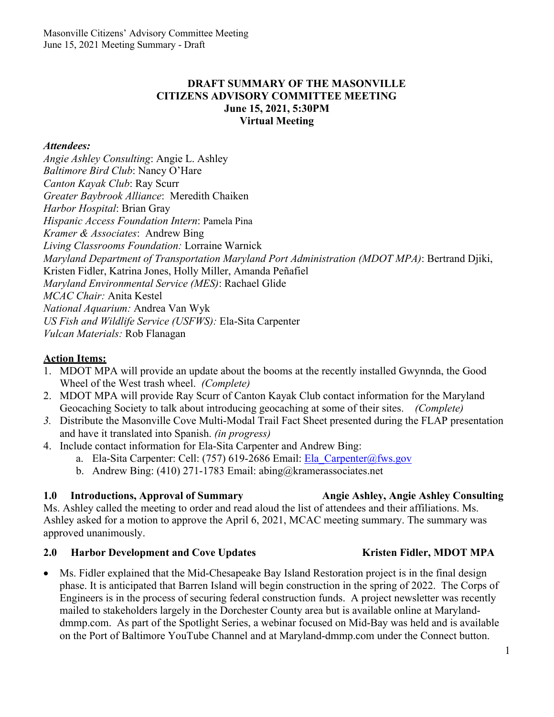### **DRAFT SUMMARY OF THE MASONVILLE CITIZENS ADVISORY COMMITTEE MEETING June 15, 2021, 5:30PM Virtual Meeting**

### *Attendees:*

*Angie Ashley Consulting*: Angie L. Ashley *Baltimore Bird Club*: Nancy O'Hare *Canton Kayak Club*: Ray Scurr *Greater Baybrook Alliance*: Meredith Chaiken *Harbor Hospital*: Brian Gray *Hispanic Access Foundation Intern*: Pamela Pina *Kramer & Associates*: Andrew Bing *Living Classrooms Foundation:* Lorraine Warnick *Maryland Department of Transportation Maryland Port Administration (MDOT MPA)*: Bertrand Djiki, Kristen Fidler, Katrina Jones, Holly Miller, Amanda Peñafiel *Maryland Environmental Service (MES)*: Rachael Glide *MCAC Chair:* Anita Kestel *National Aquarium:* Andrea Van Wyk *US Fish and Wildlife Service (USFWS):* Ela-Sita Carpenter *Vulcan Materials:* Rob Flanagan

### **Action Items:**

- 1. MDOT MPA will provide an update about the booms at the recently installed Gwynnda, the Good Wheel of the West trash wheel. *(Complete)*
- 2. MDOT MPA will provide Ray Scurr of Canton Kayak Club contact information for the Maryland Geocaching Society to talk about introducing geocaching at some of their sites. *(Complete)*
- *3.* Distribute the Masonville Cove Multi-Modal Trail Fact Sheet presented during the FLAP presentation and have it translated into Spanish. *(in progress)*
- 4. Include contact information for Ela-Sita Carpenter and Andrew Bing:
	- a. Ela-Sita Carpenter: Cell: (757) 619-2686 Email: Ela\_Carpenter@fws.gov
	- b. Andrew Bing: (410) 271-1783 Email: abing@kramerassociates.net

### **1.0 Introductions, Approval of Summary Angie Ashley, Angie Ashley Consulting**

Ms. Ashley called the meeting to order and read aloud the list of attendees and their affiliations. Ms. Ashley asked for a motion to approve the April 6, 2021, MCAC meeting summary. The summary was approved unanimously.

### 2.0 **Harbor Development and Cove Updates Kristen Fidler, MDOT MPA**

Ms. Fidler explained that the Mid-Chesapeake Bay Island Restoration project is in the final design phase. It is anticipated that Barren Island will begin construction in the spring of 2022. The Corps of Engineers is in the process of securing federal construction funds. A project newsletter was recently mailed to stakeholders largely in the Dorchester County area but is available online at Marylanddmmp.com. As part of the Spotlight Series, a webinar focused on Mid-Bay was held and is available on the Port of Baltimore YouTube Channel and at Maryland-dmmp.com under the Connect button.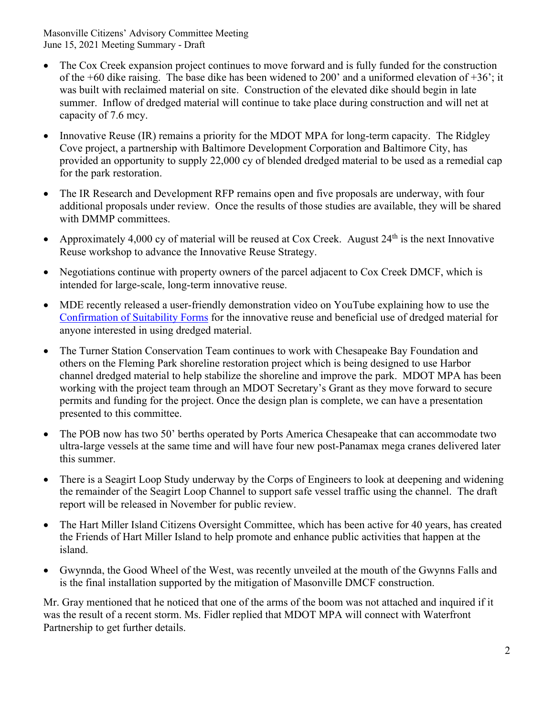- The Cox Creek expansion project continues to move forward and is fully funded for the construction of the  $+60$  dike raising. The base dike has been widened to 200' and a uniformed elevation of  $+36$ '; it was built with reclaimed material on site. Construction of the elevated dike should begin in late summer. Inflow of dredged material will continue to take place during construction and will net at capacity of 7.6 mcy.
- Innovative Reuse (IR) remains a priority for the MDOT MPA for long-term capacity. The Ridgley Cove project, a partnership with Baltimore Development Corporation and Baltimore City, has provided an opportunity to supply 22,000 cy of blended dredged material to be used as a remedial cap for the park restoration.
- The IR Research and Development RFP remains open and five proposals are underway, with four additional proposals under review. Once the results of those studies are available, they will be shared with DMMP committees.
- Approximately 4,000 cy of material will be reused at Cox Creek. August  $24<sup>th</sup>$  is the next Innovative Reuse workshop to advance the Innovative Reuse Strategy.
- Negotiations continue with property owners of the parcel adjacent to Cox Creek DMCF, which is intended for large-scale, long-term innovative reuse.
- MDE recently released a user-friendly demonstration video on YouTube explaining how to use the Confirmation of Suitability Forms for the innovative reuse and beneficial use of dredged material for anyone interested in using dredged material.
- The Turner Station Conservation Team continues to work with Chesapeake Bay Foundation and others on the Fleming Park shoreline restoration project which is being designed to use Harbor channel dredged material to help stabilize the shoreline and improve the park. MDOT MPA has been working with the project team through an MDOT Secretary's Grant as they move forward to secure permits and funding for the project. Once the design plan is complete, we can have a presentation presented to this committee.
- The POB now has two 50' berths operated by Ports America Chesapeake that can accommodate two ultra-large vessels at the same time and will have four new post-Panamax mega cranes delivered later this summer.
- There is a Seagirt Loop Study underway by the Corps of Engineers to look at deepening and widening the remainder of the Seagirt Loop Channel to support safe vessel traffic using the channel. The draft report will be released in November for public review.
- The Hart Miller Island Citizens Oversight Committee, which has been active for 40 years, has created the Friends of Hart Miller Island to help promote and enhance public activities that happen at the island.
- Gwynnda, the Good Wheel of the West, was recently unveiled at the mouth of the Gwynns Falls and is the final installation supported by the mitigation of Masonville DMCF construction.

Mr. Gray mentioned that he noticed that one of the arms of the boom was not attached and inquired if it was the result of a recent storm. Ms. Fidler replied that MDOT MPA will connect with Waterfront Partnership to get further details.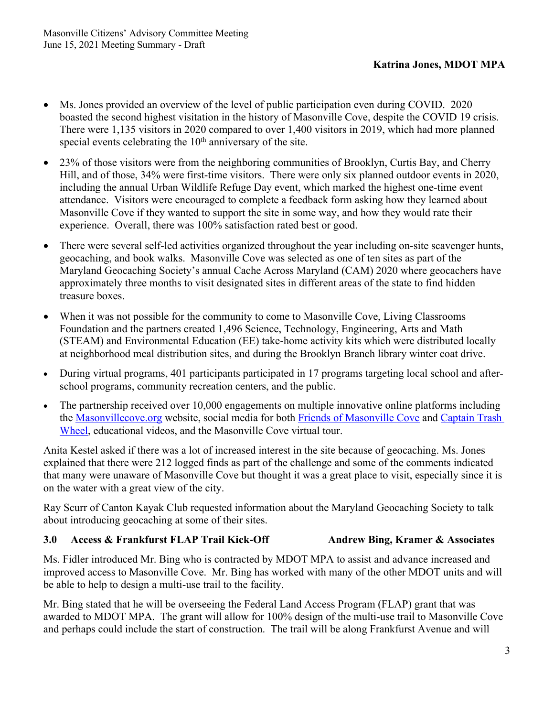- Ms. Jones provided an overview of the level of public participation even during COVID. 2020 boasted the second highest visitation in the history of Masonville Cove, despite the COVID 19 crisis. There were 1,135 visitors in 2020 compared to over 1,400 visitors in 2019, which had more planned special events celebrating the  $10<sup>th</sup>$  anniversary of the site.
- 23% of those visitors were from the neighboring communities of Brooklyn, Curtis Bay, and Cherry Hill, and of those, 34% were first-time visitors. There were only six planned outdoor events in 2020, including the annual Urban Wildlife Refuge Day event, which marked the highest one-time event attendance. Visitors were encouraged to complete a feedback form asking how they learned about Masonville Cove if they wanted to support the site in some way, and how they would rate their experience. Overall, there was 100% satisfaction rated best or good.
- There were several self-led activities organized throughout the year including on-site scavenger hunts, geocaching, and book walks. Masonville Cove was selected as one of ten sites as part of the Maryland Geocaching Society's annual Cache Across Maryland (CAM) 2020 where geocachers have approximately three months to visit designated sites in different areas of the state to find hidden treasure boxes.
- When it was not possible for the community to come to Masonville Cove, Living Classrooms Foundation and the partners created 1,496 Science, Technology, Engineering, Arts and Math (STEAM) and Environmental Education (EE) take-home activity kits which were distributed locally at neighborhood meal distribution sites, and during the Brooklyn Branch library winter coat drive.
- During virtual programs, 401 participants participated in 17 programs targeting local school and afterschool programs, community recreation centers, and the public.
- The partnership received over 10,000 engagements on multiple innovative online platforms including the Masonvillecove.org website, social media for both Friends of Masonville Cove and Captain Trash Wheel, educational videos, and the Masonville Cove virtual tour.

Anita Kestel asked if there was a lot of increased interest in the site because of geocaching. Ms. Jones explained that there were 212 logged finds as part of the challenge and some of the comments indicated that many were unaware of Masonville Cove but thought it was a great place to visit, especially since it is on the water with a great view of the city.

Ray Scurr of Canton Kayak Club requested information about the Maryland Geocaching Society to talk about introducing geocaching at some of their sites.

### **3.0 Access & Frankfurst FLAP Trail Kick-Off Andrew Bing, Kramer & Associates**

Ms. Fidler introduced Mr. Bing who is contracted by MDOT MPA to assist and advance increased and improved access to Masonville Cove. Mr. Bing has worked with many of the other MDOT units and will be able to help to design a multi-use trail to the facility.

Mr. Bing stated that he will be overseeing the Federal Land Access Program (FLAP) grant that was awarded to MDOT MPA. The grant will allow for 100% design of the multi-use trail to Masonville Cove and perhaps could include the start of construction. The trail will be along Frankfurst Avenue and will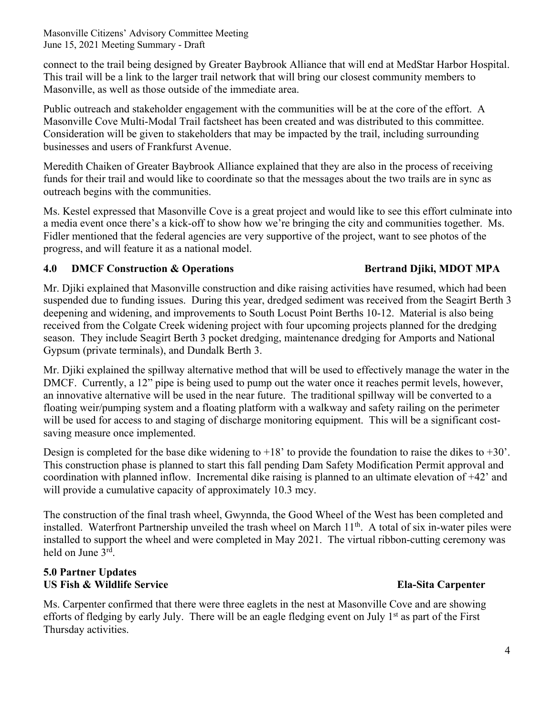connect to the trail being designed by Greater Baybrook Alliance that will end at MedStar Harbor Hospital. This trail will be a link to the larger trail network that will bring our closest community members to Masonville, as well as those outside of the immediate area.

Public outreach and stakeholder engagement with the communities will be at the core of the effort. A Masonville Cove Multi-Modal Trail factsheet has been created and was distributed to this committee. Consideration will be given to stakeholders that may be impacted by the trail, including surrounding businesses and users of Frankfurst Avenue.

Meredith Chaiken of Greater Baybrook Alliance explained that they are also in the process of receiving funds for their trail and would like to coordinate so that the messages about the two trails are in sync as outreach begins with the communities.

Ms. Kestel expressed that Masonville Cove is a great project and would like to see this effort culminate into a media event once there's a kick-off to show how we're bringing the city and communities together. Ms. Fidler mentioned that the federal agencies are very supportive of the project, want to see photos of the progress, and will feature it as a national model.

# **4.0 DMCF Construction & Operations Bertrand Djiki, MDOT MPA**

Mr. Djiki explained that Masonville construction and dike raising activities have resumed, which had been suspended due to funding issues. During this year, dredged sediment was received from the Seagirt Berth 3 deepening and widening, and improvements to South Locust Point Berths 10-12. Material is also being received from the Colgate Creek widening project with four upcoming projects planned for the dredging season. They include Seagirt Berth 3 pocket dredging, maintenance dredging for Amports and National Gypsum (private terminals), and Dundalk Berth 3.

Mr. Djiki explained the spillway alternative method that will be used to effectively manage the water in the DMCF. Currently, a 12" pipe is being used to pump out the water once it reaches permit levels, however, an innovative alternative will be used in the near future. The traditional spillway will be converted to a floating weir/pumping system and a floating platform with a walkway and safety railing on the perimeter will be used for access to and staging of discharge monitoring equipment. This will be a significant costsaving measure once implemented.

Design is completed for the base dike widening to  $+18'$  to provide the foundation to raise the dikes to  $+30'$ . This construction phase is planned to start this fall pending Dam Safety Modification Permit approval and coordination with planned inflow. Incremental dike raising is planned to an ultimate elevation of +42' and will provide a cumulative capacity of approximately 10.3 mcy.

The construction of the final trash wheel, Gwynnda, the Good Wheel of the West has been completed and installed. Waterfront Partnership unveiled the trash wheel on March 11<sup>th</sup>. A total of six in-water piles were installed to support the wheel and were completed in May 2021. The virtual ribbon-cutting ceremony was held on June 3rd.

# **5.0 Partner Updates US Fish & Wildlife Service Ela-Sita Carpenter**

Ms. Carpenter confirmed that there were three eaglets in the nest at Masonville Cove and are showing efforts of fledging by early July. There will be an eagle fledging event on July 1<sup>st</sup> as part of the First Thursday activities.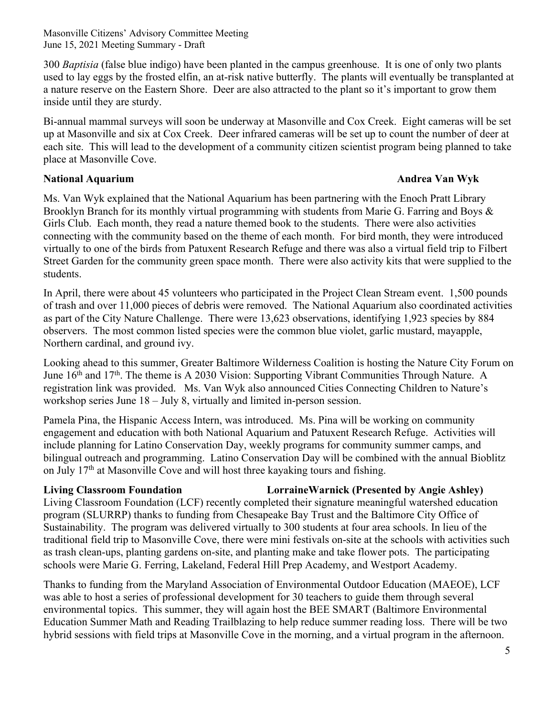300 *Baptisia* (false blue indigo) have been planted in the campus greenhouse. It is one of only two plants used to lay eggs by the frosted elfin, an at-risk native butterfly. The plants will eventually be transplanted at a nature reserve on the Eastern Shore. Deer are also attracted to the plant so it's important to grow them inside until they are sturdy.

Bi-annual mammal surveys will soon be underway at Masonville and Cox Creek. Eight cameras will be set up at Masonville and six at Cox Creek. Deer infrared cameras will be set up to count the number of deer at each site. This will lead to the development of a community citizen scientist program being planned to take place at Masonville Cove.

### **National Aquarium Andrea Van Wyk**

Ms. Van Wyk explained that the National Aquarium has been partnering with the Enoch Pratt Library Brooklyn Branch for its monthly virtual programming with students from Marie G. Farring and Boys & Girls Club. Each month, they read a nature themed book to the students. There were also activities connecting with the community based on the theme of each month. For bird month, they were introduced virtually to one of the birds from Patuxent Research Refuge and there was also a virtual field trip to Filbert Street Garden for the community green space month. There were also activity kits that were supplied to the students.

In April, there were about 45 volunteers who participated in the Project Clean Stream event. 1,500 pounds of trash and over 11,000 pieces of debris were removed. The National Aquarium also coordinated activities as part of the City Nature Challenge. There were 13,623 observations, identifying 1,923 species by 884 observers. The most common listed species were the common blue violet, garlic mustard, mayapple, Northern cardinal, and ground ivy.

Looking ahead to this summer, Greater Baltimore Wilderness Coalition is hosting the Nature City Forum on June  $16<sup>th</sup>$  and  $17<sup>th</sup>$ . The theme is A 2030 Vision: Supporting Vibrant Communities Through Nature. A registration link was provided. Ms. Van Wyk also announced Cities Connecting Children to Nature's workshop series June 18 – July 8, virtually and limited in-person session.

Pamela Pina, the Hispanic Access Intern, was introduced. Ms. Pina will be working on community engagement and education with both National Aquarium and Patuxent Research Refuge. Activities will include planning for Latino Conservation Day, weekly programs for community summer camps, and bilingual outreach and programming. Latino Conservation Day will be combined with the annual Bioblitz on July 17th at Masonville Cove and will host three kayaking tours and fishing.

# **Living Classroom Foundation LorraineWarnick (Presented by Angie Ashley)**

Living Classroom Foundation (LCF) recently completed their signature meaningful watershed education program (SLURRP) thanks to funding from Chesapeake Bay Trust and the Baltimore City Office of Sustainability. The program was delivered virtually to 300 students at four area schools. In lieu of the traditional field trip to Masonville Cove, there were mini festivals on-site at the schools with activities such as trash clean-ups, planting gardens on-site, and planting make and take flower pots. The participating schools were Marie G. Ferring, Lakeland, Federal Hill Prep Academy, and Westport Academy.

Thanks to funding from the Maryland Association of Environmental Outdoor Education (MAEOE), LCF was able to host a series of professional development for 30 teachers to guide them through several environmental topics. This summer, they will again host the BEE SMART (Baltimore Environmental Education Summer Math and Reading Trailblazing to help reduce summer reading loss. There will be two hybrid sessions with field trips at Masonville Cove in the morning, and a virtual program in the afternoon.